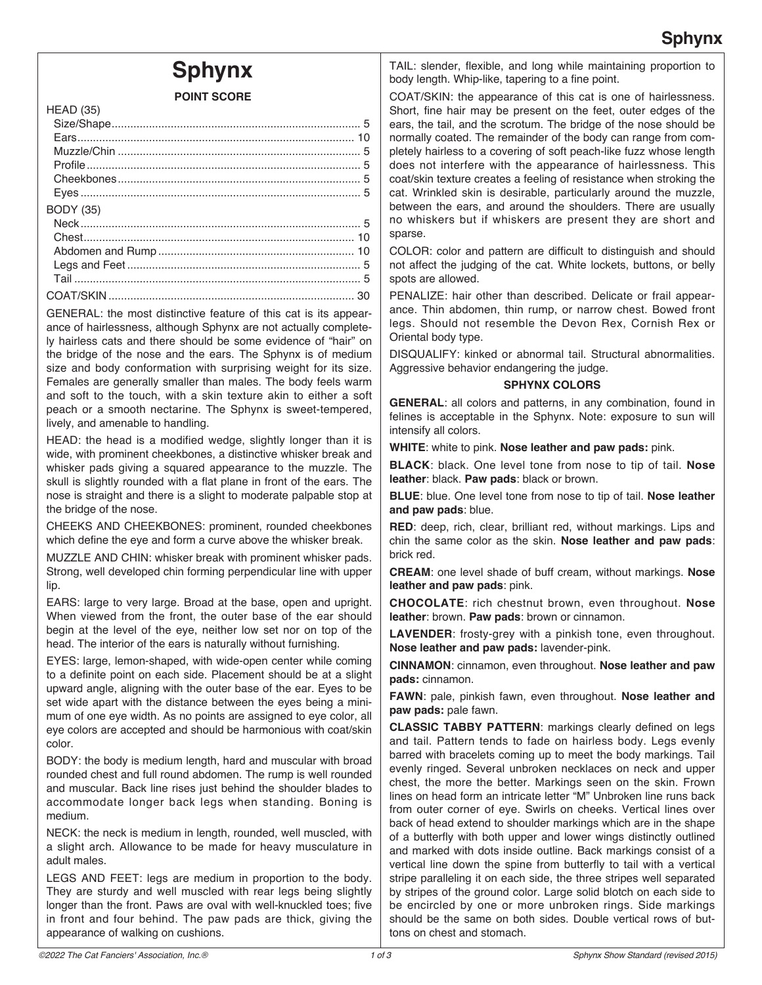# **Sphynx**

### **POINT SCORE**

GENERAL: the most distinctive feature of this cat is its appearance of hairlessness, although Sphynx are not actually completely hairless cats and there should be some evidence of "hair" on the bridge of the nose and the ears. The Sphynx is of medium size and body conformation with surprising weight for its size. Females are generally smaller than males. The body feels warm and soft to the touch, with a skin texture akin to either a soft peach or a smooth nectarine. The Sphynx is sweet-tempered, lively, and amenable to handling.

HEAD: the head is a modified wedge, slightly longer than it is wide, with prominent cheekbones, a distinctive whisker break and whisker pads giving a squared appearance to the muzzle. The skull is slightly rounded with a flat plane in front of the ears. The nose is straight and there is a slight to moderate palpable stop at the bridge of the nose.

CHEEKS AND CHEEKBONES: prominent, rounded cheekbones which define the eye and form a curve above the whisker break.

MUZZLE AND CHIN: whisker break with prominent whisker pads. Strong, well developed chin forming perpendicular line with upper lip.

EARS: large to very large. Broad at the base, open and upright. When viewed from the front, the outer base of the ear should begin at the level of the eye, neither low set nor on top of the head. The interior of the ears is naturally without furnishing.

EYES: large, lemon-shaped, with wide-open center while coming to a definite point on each side. Placement should be at a slight upward angle, aligning with the outer base of the ear. Eyes to be set wide apart with the distance between the eyes being a minimum of one eye width. As no points are assigned to eye color, all eye colors are accepted and should be harmonious with coat/skin color.

BODY: the body is medium length, hard and muscular with broad rounded chest and full round abdomen. The rump is well rounded and muscular. Back line rises just behind the shoulder blades to accommodate longer back legs when standing. Boning is medium.

NECK: the neck is medium in length, rounded, well muscled, with a slight arch. Allowance to be made for heavy musculature in adult males.

LEGS AND FEET: legs are medium in proportion to the body. They are sturdy and well muscled with rear legs being slightly longer than the front. Paws are oval with well-knuckled toes; five in front and four behind. The paw pads are thick, giving the appearance of walking on cushions.

TAIL: slender, flexible, and long while maintaining proportion to body length. Whip-like, tapering to a fine point.

COAT/SKIN: the appearance of this cat is one of hairlessness. Short, fine hair may be present on the feet, outer edges of the ears, the tail, and the scrotum. The bridge of the nose should be normally coated. The remainder of the body can range from completely hairless to a covering of soft peach-like fuzz whose length does not interfere with the appearance of hairlessness. This coat/skin texture creates a feeling of resistance when stroking the cat. Wrinkled skin is desirable, particularly around the muzzle, between the ears, and around the shoulders. There are usually no whiskers but if whiskers are present they are short and sparse.

COLOR: color and pattern are difficult to distinguish and should not affect the judging of the cat. White lockets, buttons, or belly spots are allowed.

PENALIZE: hair other than described. Delicate or frail appearance. Thin abdomen, thin rump, or narrow chest. Bowed front legs. Should not resemble the Devon Rex, Cornish Rex or Oriental body type.

DISQUALIFY: kinked or abnormal tail. Structural abnormalities. Aggressive behavior endangering the judge.

#### **SPHYNX COLORS**

**GENERAL**: all colors and patterns, in any combination, found in felines is acceptable in the Sphynx. Note: exposure to sun will intensify all colors.

**WHITE**: white to pink. **Nose leather and paw pads:** pink.

**BLACK**: black. One level tone from nose to tip of tail. **Nose leather**: black. **Paw pads**: black or brown.

**BLUE**: blue. One level tone from nose to tip of tail. **Nose leather and paw pads**: blue.

**RED**: deep, rich, clear, brilliant red, without markings. Lips and chin the same color as the skin. **Nose leather and paw pads**: brick red.

**CREAM**: one level shade of buff cream, without markings. **Nose leather and paw pads**: pink.

**CHOCOLATE**: rich chestnut brown, even throughout. **Nose leather**: brown. **Paw pads**: brown or cinnamon.

**LAVENDER**: frosty-grey with a pinkish tone, even throughout. **Nose leather and paw pads:** lavender-pink.

**CINNAMON**: cinnamon, even throughout. **Nose leather and paw pads:** cinnamon.

**FAWN**: pale, pinkish fawn, even throughout. **Nose leather and paw pads:** pale fawn.

**CLASSIC TABBY PATTERN**: markings clearly defined on legs and tail. Pattern tends to fade on hairless body. Legs evenly barred with bracelets coming up to meet the body markings. Tail evenly ringed. Several unbroken necklaces on neck and upper chest, the more the better. Markings seen on the skin. Frown lines on head form an intricate letter "M" Unbroken line runs back from outer corner of eye. Swirls on cheeks. Vertical lines over back of head extend to shoulder markings which are in the shape of a butterfly with both upper and lower wings distinctly outlined and marked with dots inside outline. Back markings consist of a vertical line down the spine from butterfly to tail with a vertical stripe paralleling it on each side, the three stripes well separated by stripes of the ground color. Large solid blotch on each side to be encircled by one or more unbroken rings. Side markings should be the same on both sides. Double vertical rows of buttons on chest and stomach.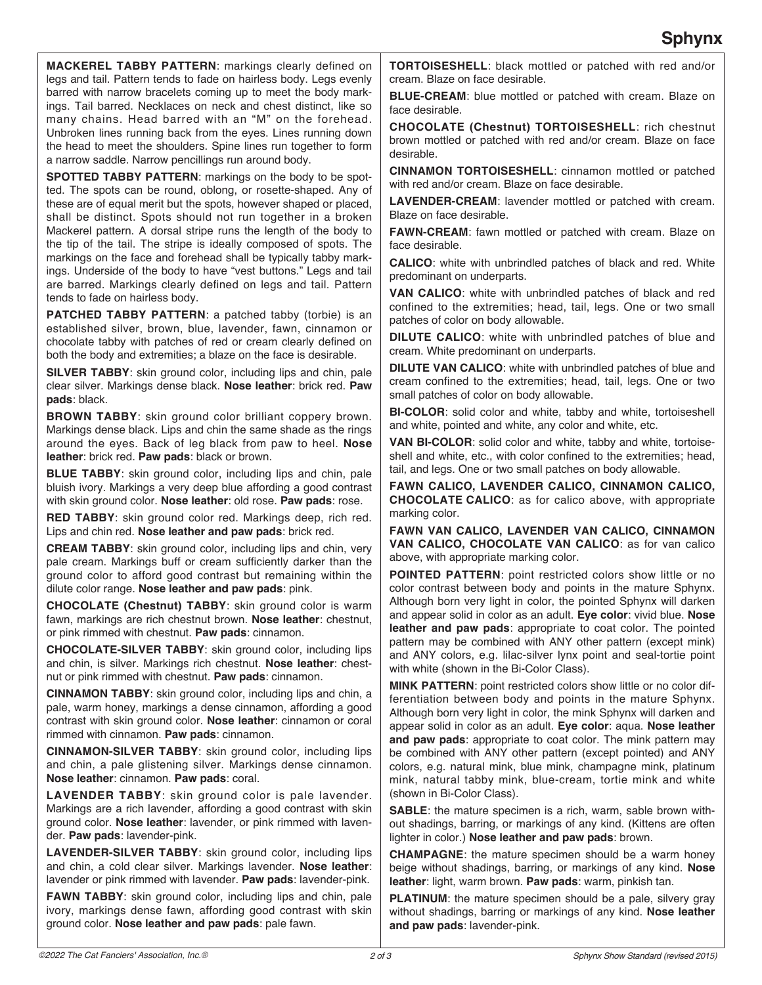**MACKEREL TABBY PATTERN**: markings clearly defined on legs and tail. Pattern tends to fade on hairless body. Legs evenly barred with narrow bracelets coming up to meet the body markings. Tail barred. Necklaces on neck and chest distinct, like so many chains. Head barred with an "M" on the forehead. Unbroken lines running back from the eyes. Lines running down the head to meet the shoulders. Spine lines run together to form a narrow saddle. Narrow pencillings run around body.

**SPOTTED TABBY PATTERN**: markings on the body to be spotted. The spots can be round, oblong, or rosette-shaped. Any of these are of equal merit but the spots, however shaped or placed, shall be distinct. Spots should not run together in a broken Mackerel pattern. A dorsal stripe runs the length of the body to the tip of the tail. The stripe is ideally composed of spots. The markings on the face and forehead shall be typically tabby markings. Underside of the body to have "vest buttons." Legs and tail are barred. Markings clearly defined on legs and tail. Pattern tends to fade on hairless body.

**PATCHED TABBY PATTERN:** a patched tabby (torbie) is an established silver, brown, blue, lavender, fawn, cinnamon or chocolate tabby with patches of red or cream clearly defined on both the body and extremities; a blaze on the face is desirable.

**SILVER TABBY**: skin ground color, including lips and chin, pale clear silver. Markings dense black. **Nose leather**: brick red. **Paw pads**: black.

**BROWN TABBY**: skin ground color brilliant coppery brown. Markings dense black. Lips and chin the same shade as the rings around the eyes. Back of leg black from paw to heel. **Nose leather**: brick red. **Paw pads**: black or brown.

**BLUE TABBY**: skin ground color, including lips and chin, pale bluish ivory. Markings a very deep blue affording a good contrast with skin ground color. **Nose leather**: old rose. **Paw pads**: rose.

**RED TABBY**: skin ground color red. Markings deep, rich red. Lips and chin red. **Nose leather and paw pads**: brick red.

**CREAM TABBY**: skin ground color, including lips and chin, very pale cream. Markings buff or cream sufficiently darker than the ground color to afford good contrast but remaining within the dilute color range. **Nose leather and paw pads**: pink.

**CHOCOLATE (Chestnut) TABBY**: skin ground color is warm fawn, markings are rich chestnut brown. **Nose leather**: chestnut, or pink rimmed with chestnut. **Paw pads**: cinnamon.

**CHOCOLATE-SILVER TABBY**: skin ground color, including lips and chin, is silver. Markings rich chestnut. **Nose leather**: chestnut or pink rimmed with chestnut. **Paw pads**: cinnamon.

**CINNAMON TABBY**: skin ground color, including lips and chin, a pale, warm honey, markings a dense cinnamon, affording a good contrast with skin ground color. **Nose leather**: cinnamon or coral rimmed with cinnamon. **Paw pads**: cinnamon.

**CINNAMON-SILVER TABBY**: skin ground color, including lips and chin, a pale glistening silver. Markings dense cinnamon. **Nose leather**: cinnamon. **Paw pads**: coral.

**LAVENDER TABBY**: skin ground color is pale lavender. Markings are a rich lavender, affording a good contrast with skin ground color. **Nose leather**: lavender, or pink rimmed with lavender. **Paw pads**: lavender-pink.

**LAVENDER-SILVER TABBY**: skin ground color, including lips and chin, a cold clear silver. Markings lavender. **Nose leather**: lavender or pink rimmed with lavender. **Paw pads**: lavender-pink.

**FAWN TABBY**: skin ground color, including lips and chin, pale ivory, markings dense fawn, affording good contrast with skin ground color. **Nose leather and paw pads**: pale fawn.

**TORTOISESHELL**: black mottled or patched with red and/or cream. Blaze on face desirable.

**BLUE-CREAM**: blue mottled or patched with cream. Blaze on face desirable.

**CHOCOLATE (Chestnut) TORTOISESHELL**: rich chestnut brown mottled or patched with red and/or cream. Blaze on face desirable.

**CINNAMON TORTOISESHELL**: cinnamon mottled or patched with red and/or cream. Blaze on face desirable.

**LAVENDER-CREAM**: lavender mottled or patched with cream. Blaze on face desirable.

**FAWN-CREAM**: fawn mottled or patched with cream. Blaze on face desirable.

**CALICO**: white with unbrindled patches of black and red. White predominant on underparts.

**VAN CALICO**: white with unbrindled patches of black and red confined to the extremities; head, tail, legs. One or two small patches of color on body allowable.

**DILUTE CALICO**: white with unbrindled patches of blue and cream. White predominant on underparts.

**DILUTE VAN CALICO**: white with unbrindled patches of blue and cream confined to the extremities; head, tail, legs. One or two small patches of color on body allowable.

**BI-COLOR**: solid color and white, tabby and white, tortoiseshell and white, pointed and white, any color and white, etc.

**VAN BI-COLOR**: solid color and white, tabby and white, tortoiseshell and white, etc., with color confined to the extremities; head, tail, and legs. One or two small patches on body allowable.

**FAWN CALICO, LAVENDER CALICO, CINNAMON CALICO, CHOCOLATE CALICO**: as for calico above, with appropriate marking color.

**FAWN VAN CALICO, LAVENDER VAN CALICO, CINNAMON VAN CALICO, CHOCOLATE VAN CALICO**: as for van calico above, with appropriate marking color.

**POINTED PATTERN**: point restricted colors show little or no color contrast between body and points in the mature Sphynx. Although born very light in color, the pointed Sphynx will darken and appear solid in color as an adult. **Eye color**: vivid blue. **Nose leather and paw pads**: appropriate to coat color. The pointed pattern may be combined with ANY other pattern (except mink) and ANY colors, e.g. lilac-silver lynx point and seal-tortie point with white (shown in the Bi-Color Class).

**MINK PATTERN**: point restricted colors show little or no color differentiation between body and points in the mature Sphynx. Although born very light in color, the mink Sphynx will darken and appear solid in color as an adult. **Eye color**: aqua. **Nose leather and paw pads**: appropriate to coat color. The mink pattern may be combined with ANY other pattern (except pointed) and ANY colors, e.g. natural mink, blue mink, champagne mink, platinum mink, natural tabby mink, blue-cream, tortie mink and white (shown in Bi-Color Class).

**SABLE**: the mature specimen is a rich, warm, sable brown without shadings, barring, or markings of any kind. (Kittens are often lighter in color.) **Nose leather and paw pads**: brown.

**CHAMPAGNE**: the mature specimen should be a warm honey beige without shadings, barring, or markings of any kind. **Nose leather**: light, warm brown. **Paw pads**: warm, pinkish tan.

**PLATINUM:** the mature specimen should be a pale, silvery gray without shadings, barring or markings of any kind. **Nose leather and paw pads**: lavender-pink.